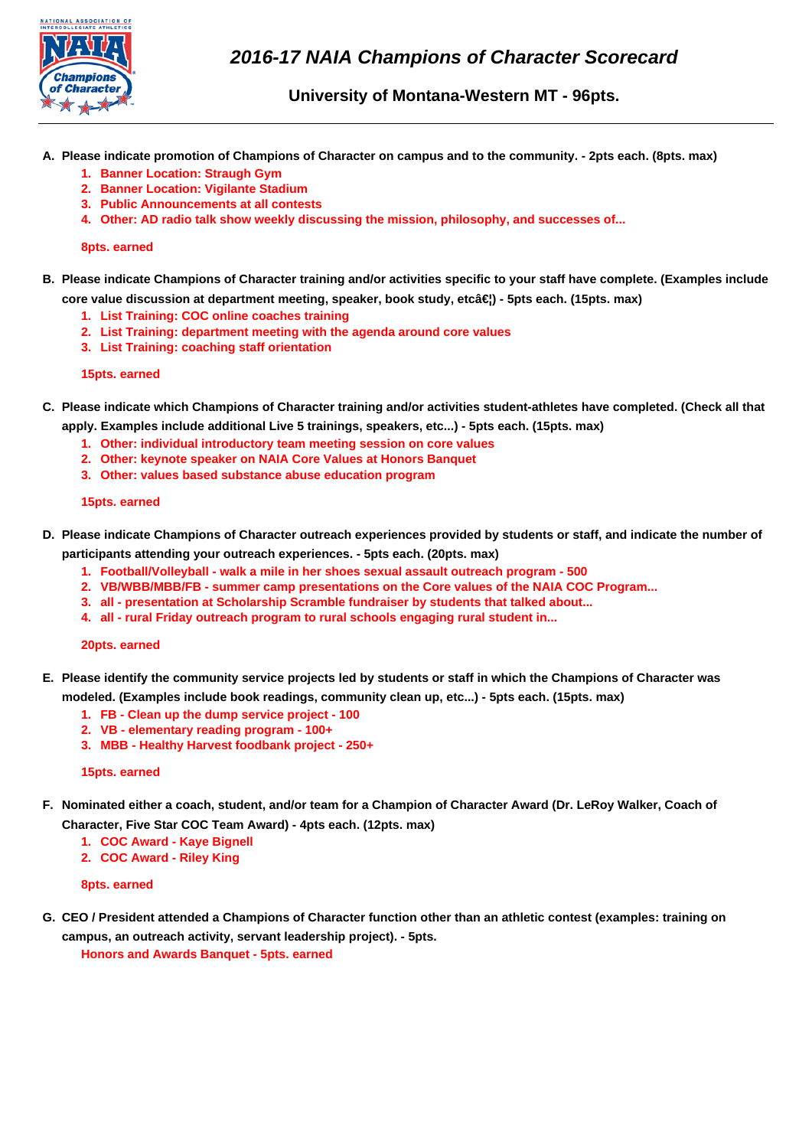

**University of Montana-Western MT - 96pts.**

- **A. Please indicate promotion of Champions of Character on campus and to the community. 2pts each. (8pts. max)**
	- **1. Banner Location: Straugh Gym**
	- **2. Banner Location: Vigilante Stadium**
	- **3. Public Announcements at all contests**
	- **4. Other: AD radio talk show weekly discussing the mission, philosophy, and successes of...**

# **8pts. earned**

**B. Please indicate Champions of Character training and/or activities specific to your staff have complete. (Examples include**

core value discussion at department meeting, speaker, book study, etc…) - 5pts each. (15pts. max)

- **1. List Training: COC online coaches training**
- **2. List Training: department meeting with the agenda around core values**
- **3. List Training: coaching staff orientation**

## **15pts. earned**

- **C. Please indicate which Champions of Character training and/or activities student-athletes have completed. (Check all that apply. Examples include additional Live 5 trainings, speakers, etc...) - 5pts each. (15pts. max)**
	- **1. Other: individual introductory team meeting session on core values**
	- **2. Other: keynote speaker on NAIA Core Values at Honors Banquet**
	- **3. Other: values based substance abuse education program**

## **15pts. earned**

- **D. Please indicate Champions of Character outreach experiences provided by students or staff, and indicate the number of participants attending your outreach experiences. - 5pts each. (20pts. max)**
	- **1. Football/Volleyball walk a mile in her shoes sexual assault outreach program 500**
	- **2. VB/WBB/MBB/FB summer camp presentations on the Core values of the NAIA COC Program...**
	- **3. all presentation at Scholarship Scramble fundraiser by students that talked about...**
	- **4. all rural Friday outreach program to rural schools engaging rural student in...**

## **20pts. earned**

- **E. Please identify the community service projects led by students or staff in which the Champions of Character was modeled. (Examples include book readings, community clean up, etc...) - 5pts each. (15pts. max)**
	- **1. FB Clean up the dump service project 100**
	- **2. VB elementary reading program 100+**
	- **3. MBB Healthy Harvest foodbank project 250+**

## **15pts. earned**

- **F. Nominated either a coach, student, and/or team for a Champion of Character Award (Dr. LeRoy Walker, Coach of Character, Five Star COC Team Award) - 4pts each. (12pts. max)**
	- **1. COC Award Kaye Bignell**
	- **2. COC Award Riley King**

## **8pts. earned**

**G. CEO / President attended a Champions of Character function other than an athletic contest (examples: training on campus, an outreach activity, servant leadership project). - 5pts.**

**Honors and Awards Banquet - 5pts. earned**